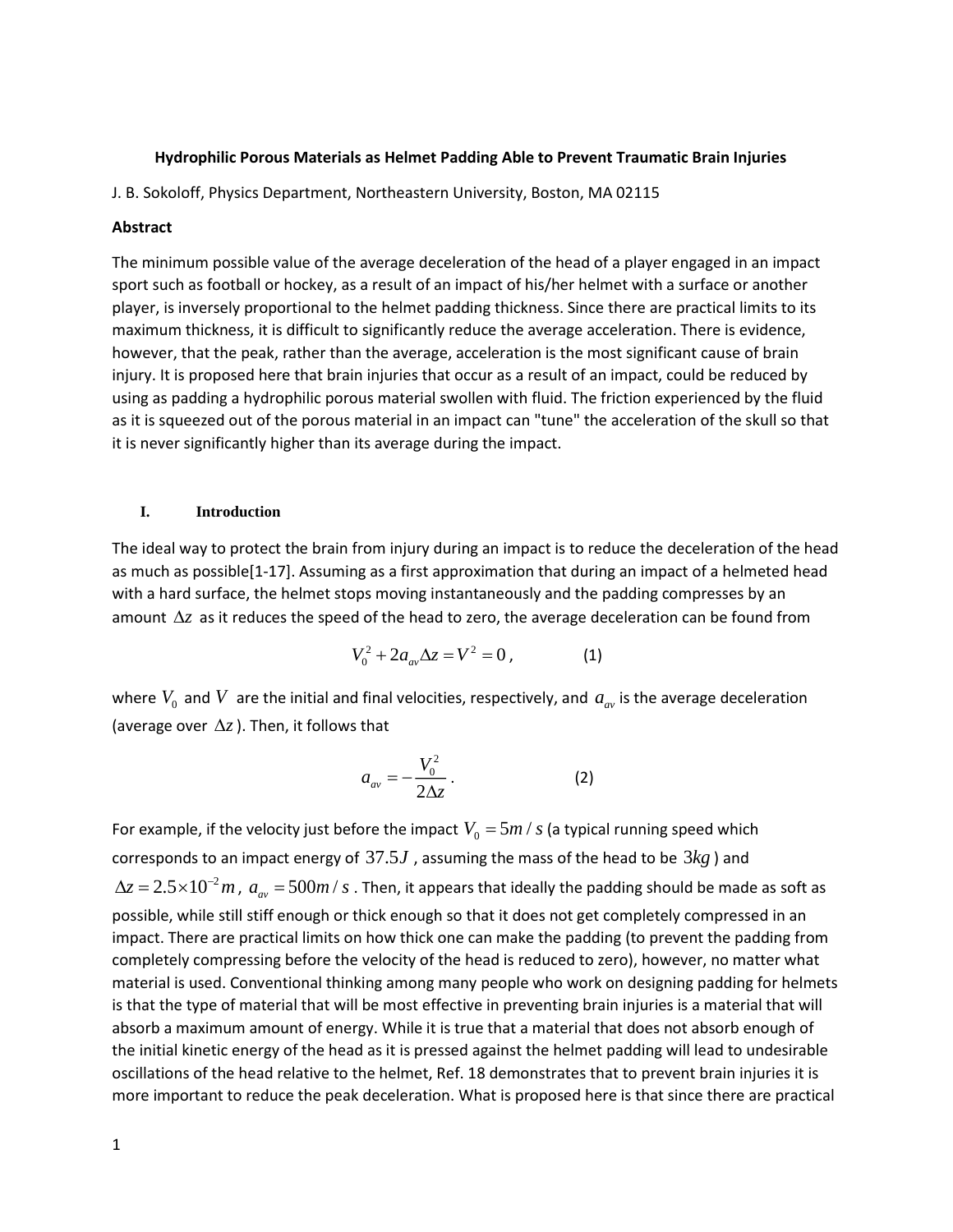### **Hydrophilic Porous Materials as Helmet Padding Able to Prevent Traumatic Brain Injuries**

J. B. Sokoloff, Physics Department, Northeastern University, Boston, MA 02115

# **Abstract**

The minimum possible value of the average deceleration of the head of a player engaged in an impact sport such as football or hockey, as a result of an impact of his/her helmet with a surface or another player, is inversely proportional to the helmet padding thickness. Since there are practical limits to its maximum thickness, it is difficult to significantly reduce the average acceleration. There is evidence, however, that the peak, rather than the average, acceleration is the most significant cause of brain injury. It is proposed here that brain injuries that occur as a result of an impact, could be reduced by using as padding a hydrophilic porous material swollen with fluid. The friction experienced by the fluid as it is squeezed out of the porous material in an impact can "tune" the acceleration of the skull so that it is never significantly higher than its average during the impact.

### **I. Introduction**

The ideal way to protect the brain from injury during an impact is to reduce the deceleration of the head as much as possible[1-17]. Assuming as a first approximation that during an impact of a helmeted head with a hard surface, the helmet stops moving instantaneously and the padding compresses by an amount  $\Delta z$  as it reduces the speed of the head to zero, the average deceleration can be found from

$$
V_0^2 + 2a_{av}\Delta z = V^2 = 0, \qquad (1)
$$

where  $V_0$  and  $V$  are the initial and final velocities, respectively, and  $a_{av}$  is the average deceleration (average over  $\Delta z$ ). Then, it follows that

$$
a_{av} = -\frac{V_0^2}{2\Delta z} \,. \tag{2}
$$

For example, if the velocity just before the impact  $V_{0}$  =  $5m$  /  $s$  (a typical running speed which corresponds to an impact energy of  $37.5J$  , assuming the mass of the head to be  $3kg$  ) and  $\Delta z = 2.5 \times 10^{-2} m$  ,  $a_{av} = 500 m$  /  $s$  . Then, it appears that ideally the padding should be made as soft as possible, while still stiff enough or thick enough so that it does not get completely compressed in an impact. There are practical limits on how thick one can make the padding (to prevent the padding from completely compressing before the velocity of the head is reduced to zero), however, no matter what material is used. Conventional thinking among many people who work on designing padding for helmets is that the type of material that will be most effective in preventing brain injuries is a material that will absorb a maximum amount of energy. While it is true that a material that does not absorb enough of the initial kinetic energy of the head as it is pressed against the helmet padding will lead to undesirable oscillations of the head relative to the helmet, Ref. 18 demonstrates that to prevent brain injuries it is more important to reduce the peak deceleration. What is proposed here is that since there are practical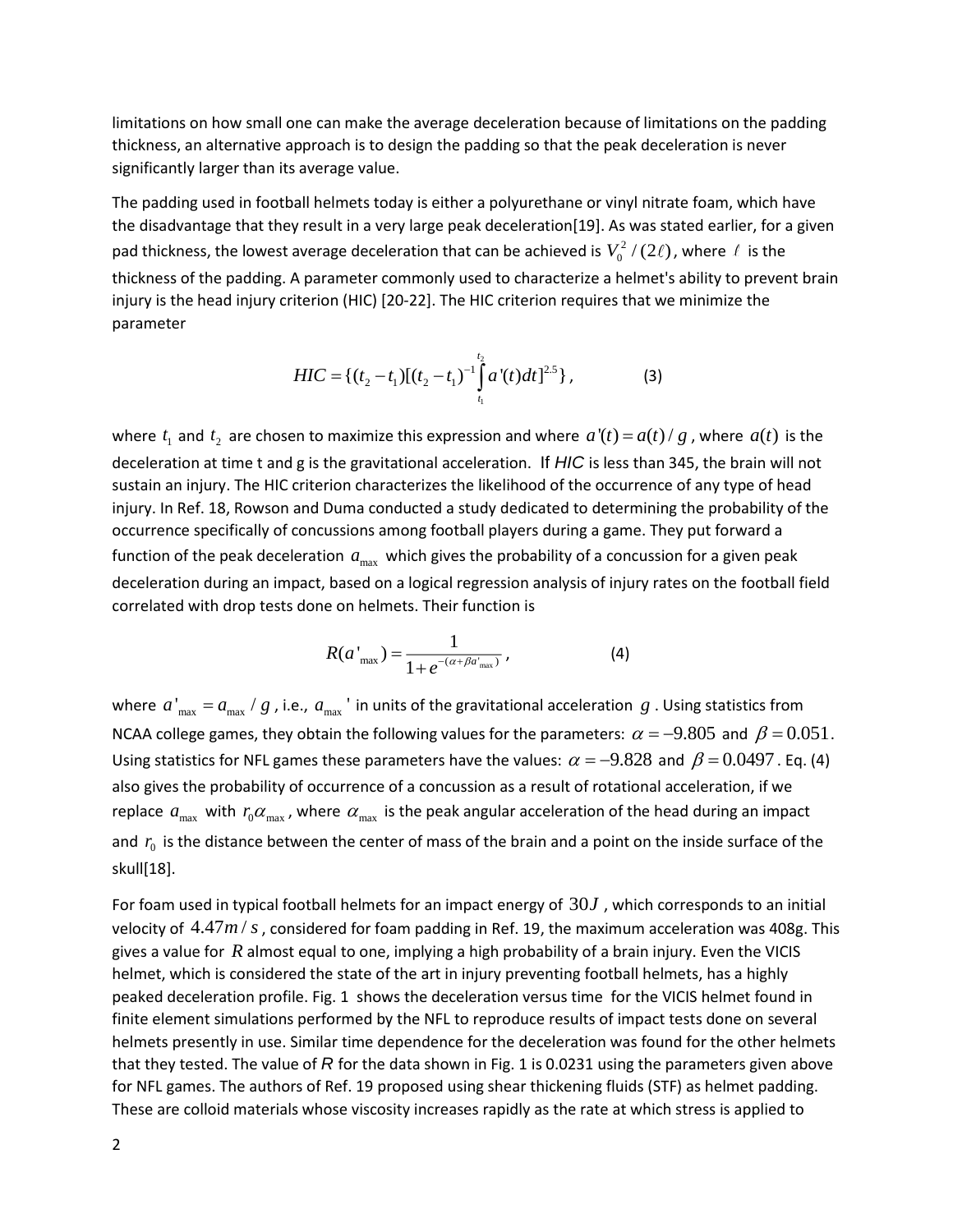limitations on how small one can make the average deceleration because of limitations on the padding thickness, an alternative approach is to design the padding so that the peak deceleration is never significantly larger than its average value.

The padding used in football helmets today is either a polyurethane or vinyl nitrate foam, which have the disadvantage that they result in a very large peak deceleration[19]. As was stated earlier, for a given pad thickness, the lowest average deceleration that can be achieved is  $V_0^2$  / (2 $\ell$ ), where  $\ell$  is the thickness of the padding. A parameter commonly used to characterize a helmet's ability to prevent brain injury is the head injury criterion (HIC) [20-22]. The HIC criterion requires that we minimize the parameter

$$
HIC = \{ (t_2 - t_1) [(t_2 - t_1)^{-1} \int_{t_1}^{t_2} a'(t) dt]^{2.5} \},
$$
\n(3)

where  $t_1$  and  $t_2$  are chosen to maximize this expression and where  $a'(t) = a(t)/g$  , where  $a(t)$  is the deceleration at time t and g is the gravitational acceleration. If *HIC* is less than 345, the brain will not sustain an injury. The HIC criterion characterizes the likelihood of the occurrence of any type of head injury. In Ref. 18, Rowson and Duma conducted a study dedicated to determining the probability of the occurrence specifically of concussions among football players during a game. They put forward a function of the peak deceleration  $a_{\text{max}}$  which gives the probability of a concussion for a given peak deceleration during an impact, based on a logical regression analysis of injury rates on the football field correlated with drop tests done on helmets. Their function is

$$
R(a'_{\max}) = \frac{1}{1 + e^{-(\alpha + \beta a'_{\max})}},
$$
 (4)

where  $a'_{\text{max}} = a_{\text{max}} / g$  , i.e.,  $a_{\text{max}}'$  in units of the gravitational acceleration  $g$  . Using statistics from NCAA college games, they obtain the following values for the parameters:  $\alpha = -9.805$  and  $\beta = 0.051$ . Using statistics for NFL games these parameters have the values:  $\alpha = -9.828$  and  $\beta = 0.0497$ . Eq. (4) also gives the probability of occurrence of a concussion as a result of rotational acceleration, if we replace  $a_{\text{max}}$  with  $r_0\alpha_{\text{max}}$ , where  $\alpha_{\text{max}}$  is the peak angular acceleration of the head during an impact and  $r_0$  is the distance between the center of mass of the brain and a point on the inside surface of the skull[18].

For foam used in typical football helmets for an impact energy of  $30J$  , which corresponds to an initial velocity of  $\left. 4.47m\right/ s$  , considered for foam padding in Ref. 19, the maximum acceleration was 408g. This gives a value for  $R$  almost equal to one, implying a high probability of a brain injury. Even the VICIS helmet, which is considered the state of the art in injury preventing football helmets, has a highly peaked deceleration profile. Fig. 1 shows the deceleration versus time for the VICIS helmet found in finite element simulations performed by the NFL to reproduce results of impact tests done on several helmets presently in use. Similar time dependence for the deceleration was found for the other helmets that they tested. The value of *R* for the data shown in Fig. 1 is 0.0231 using the parameters given above for NFL games. The authors of Ref. 19 proposed using shear thickening fluids (STF) as helmet padding. These are colloid materials whose viscosity increases rapidly as the rate at which stress is applied to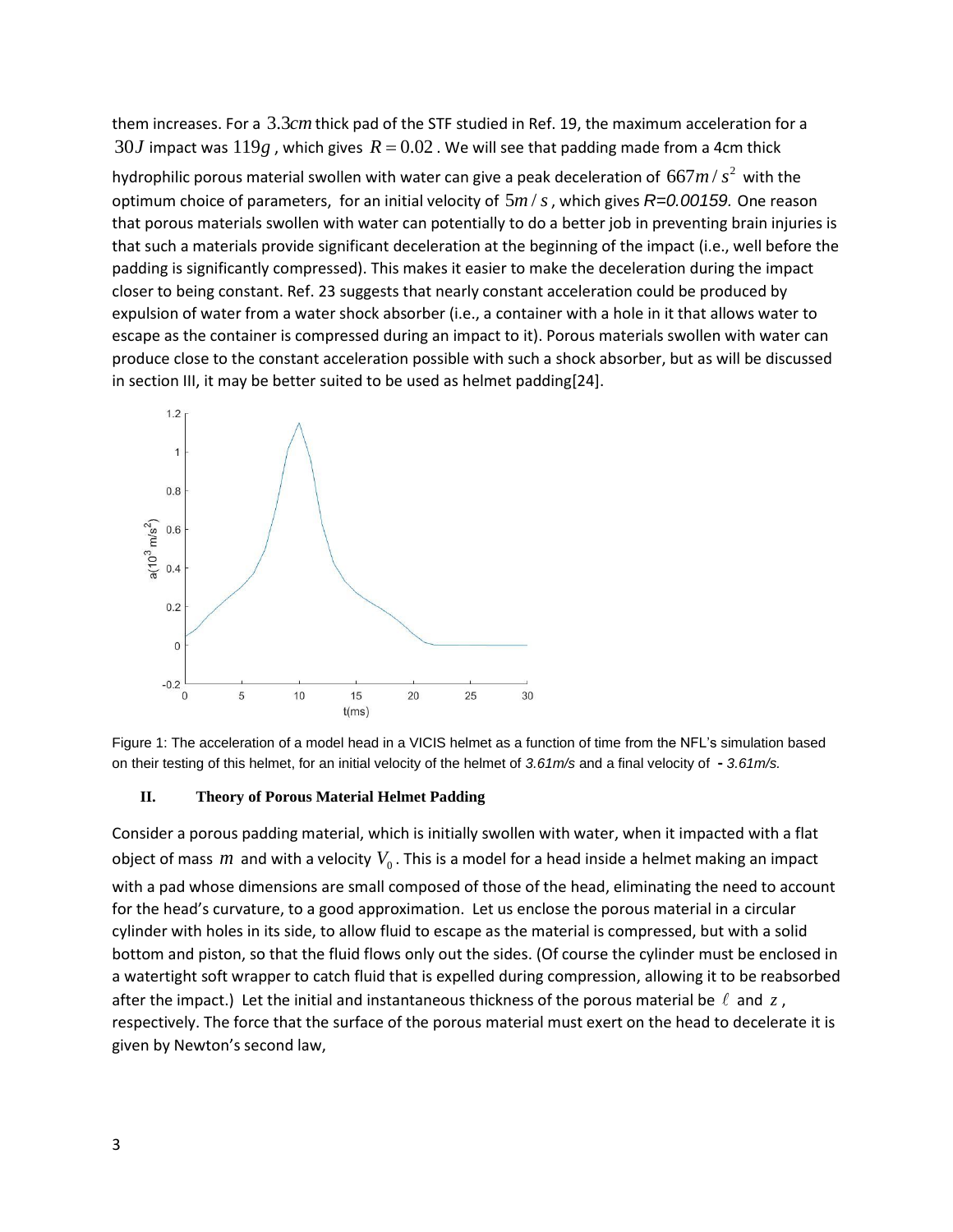them increases. For a  $3.3cm$  thick pad of the STF studied in Ref. 19, the maximum acceleration for a  $30J$  impact was  $119g$  , which gives  $\mathit{R}\, =\! 0.02$  . We will see that padding made from a 4cm thick

hydrophilic porous material swollen with water can give a peak deceleration of  $667 m/s^2$  with the optimum choice of parameters, for an initial velocity of  $5m/s$  , which gives R=0.00159. One reason that porous materials swollen with water can potentially to do a better job in preventing brain injuries is that such a materials provide significant deceleration at the beginning of the impact (i.e., well before the padding is significantly compressed). This makes it easier to make the deceleration during the impact closer to being constant. Ref. 23 suggests that nearly constant acceleration could be produced by expulsion of water from a water shock absorber (i.e., a container with a hole in it that allows water to escape as the container is compressed during an impact to it). Porous materials swollen with water can produce close to the constant acceleration possible with such a shock absorber, but as will be discussed in section III, it may be better suited to be used as helmet padding[24].





#### **II. Theory of Porous Material Helmet Padding**

Consider a porous padding material, which is initially swollen with water, when it impacted with a flat object of mass  $m$  and with a velocity  $V_0$ . This is a model for a head inside a helmet making an impact with a pad whose dimensions are small composed of those of the head, eliminating the need to account for the head's curvature, to a good approximation. Let us enclose the porous material in a circular cylinder with holes in its side, to allow fluid to escape as the material is compressed, but with a solid bottom and piston, so that the fluid flows only out the sides. (Of course the cylinder must be enclosed in a watertight soft wrapper to catch fluid that is expelled during compression, allowing it to be reabsorbed after the impact.) Let the initial and instantaneous thickness of the porous material be  $\ell$  and  $z$  , respectively. The force that the surface of the porous material must exert on the head to decelerate it is given by Newton's second law,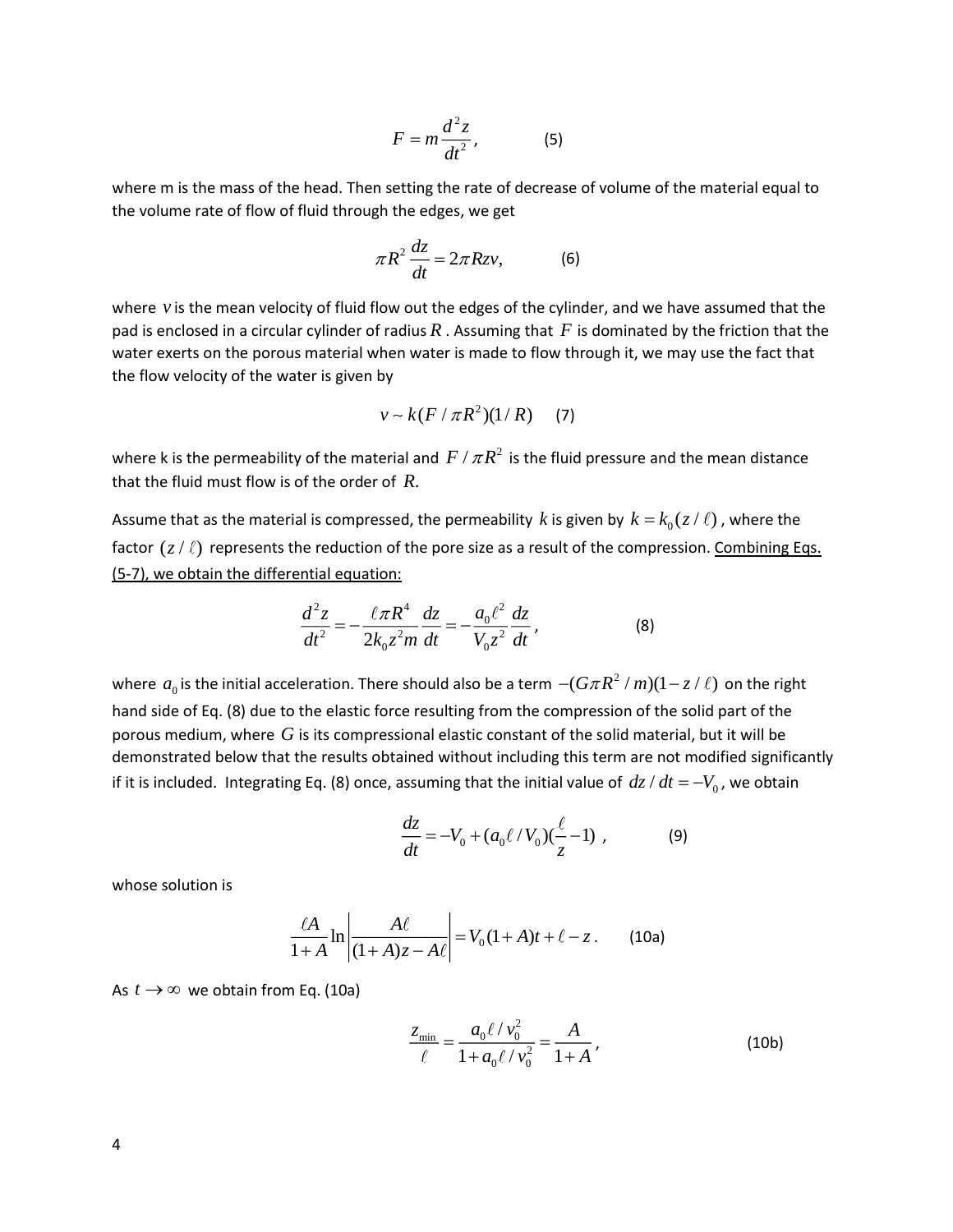$$
F = m \frac{d^2 z}{dt^2},
$$
 (5)

where m is the mass of the head. Then setting the rate of decrease of volume of the material equal to the volume rate of flow of fluid through the edges, we get

$$
\pi R^2 \frac{dz}{dt} = 2\pi R z v, \qquad (6)
$$

where vis the mean velocity of fluid flow out the edges of the cylinder, and we have assumed that the pad is enclosed in a circular cylinder of radius  $R$  . Assuming that  $F$  is dominated by the friction that the water exerts on the porous material when water is made to flow through it, we may use the fact that the flow velocity of the water is given by

$$
v \sim k(F / \pi R^2)(1/R)
$$
 (7)

where k is the permeability of the material and  $F$  /  $\pi R^2$  is the fluid pressure and the mean distance that the fluid must flow is of the order of *R*.

Assume that as the material is compressed, the permeability  $k$  is given by  $k = k_0(z/\ell)$  , where the factor  $(z/\ell)$  represents the reduction of the pore size as a result of the compression. Combining Eqs. (5-7), we obtain the differential equation:

$$
\frac{d^2z}{dt^2} = -\frac{\ell\pi R^4}{2k_0 z^2 m} \frac{dz}{dt} = -\frac{a_0 \ell^2}{V_0 z^2} \frac{dz}{dt},
$$
(8)

where  $a_0$  is the initial acceleration. There should also be a term  $-(G\pi R^2/m)(1-z/\ell)$  on the right hand side of Eq. (8) due to the elastic force resulting from the compression of the solid part of the porous medium, where  $G$  is its compressional elastic constant of the solid material, but it will be demonstrated below that the results obtained without including this term are not modified significantly if it is included. Integrating Eq. (8) once, assuming that the initial value of  $\,dz/dt = -V_0$ , we obtain

$$
\frac{dz}{dt} = -V_0 + (a_0 \ell / V_0)(\frac{\ell}{z} - 1) ,
$$
 (9)

whose solution is

$$
\frac{\ell A}{1+A} \ln \left| \frac{A\ell}{(1+A)z - A\ell} \right| = V_0(1+A)t + \ell - z. \tag{10a}
$$

#### As  $t \rightarrow \infty$  we obtain from Eq. (10a)

$$
\frac{z_{\min}}{\ell} = \frac{a_0 \ell / v_0^2}{1 + a_0 \ell / v_0^2} = \frac{A}{1 + A},
$$
\n(10b)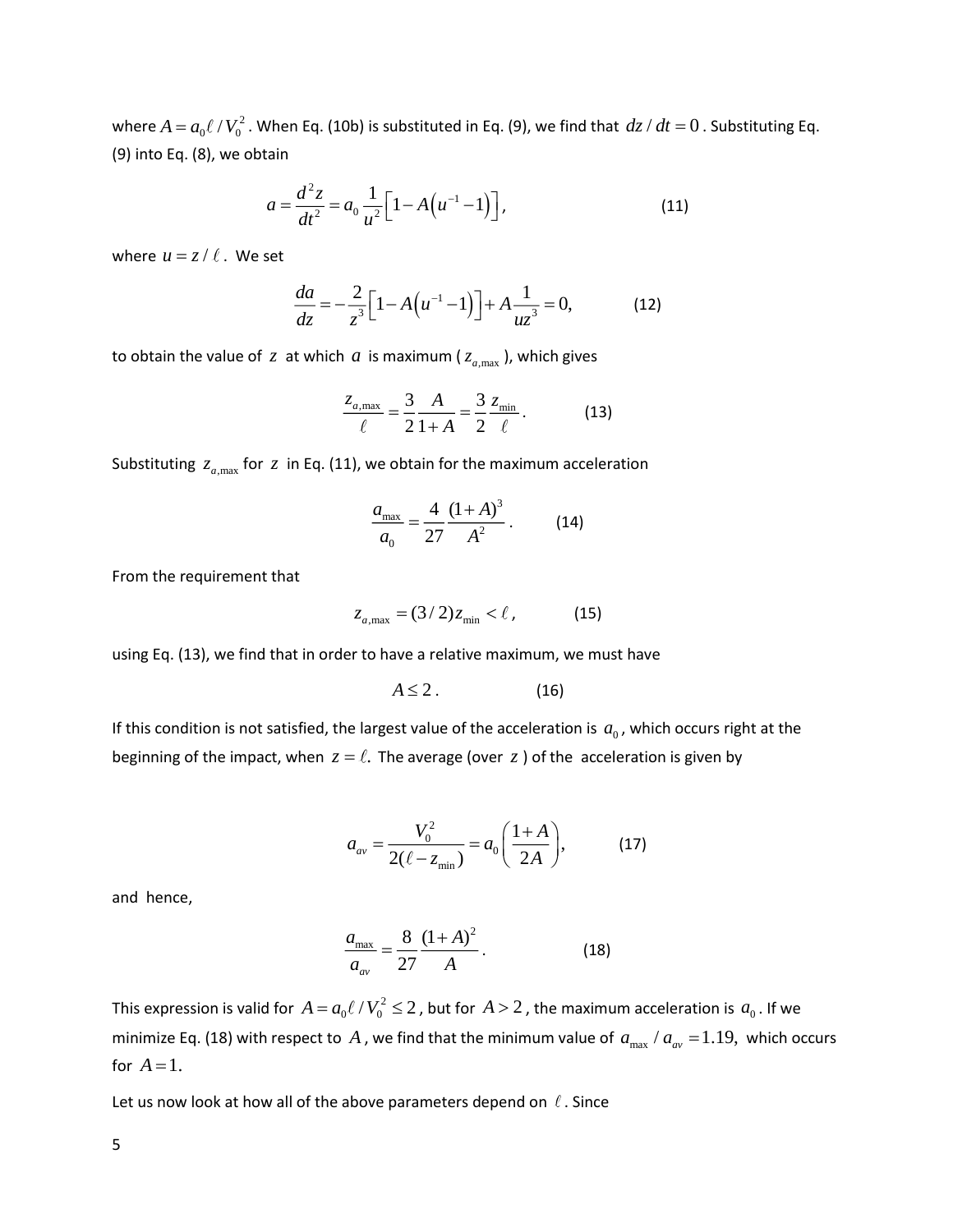where  $A = a_0 \ell / V_0^2$  . When Eq. (10b) is substituted in Eq. (9), we find that  $dz/dt = 0$  . Substituting Eq. (9) into Eq. (8), we obtain

$$
a = \frac{d^2 z}{dt^2} = a_0 \frac{1}{u^2} \Big[ 1 - A \Big( u^{-1} - 1 \Big) \Big],
$$
\n(11)

where  $u = z / l$  . We set

$$
\frac{da}{dz} = -\frac{2}{z^3} \Big[ 1 - A \Big( u^{-1} - 1 \Big) \Big] + A \frac{1}{uz^3} = 0,
$$
 (12)

to obtain the value of  $z$  at which  $a$  is maximum ( $z_{a,\mathrm{max}}$ ), which gives

$$
\frac{z_{a,\max}}{\ell} = \frac{3}{2} \frac{A}{1+A} = \frac{3}{2} \frac{z_{\min}}{\ell}.
$$
 (13)

Substituting  $z_{a,\text{max}}$  for  $z$  in Eq. (11), we obtain for the maximum acceleration

$$
\frac{a_{\text{max}}}{a_0} = \frac{4}{27} \frac{(1+A)^3}{A^2} \,. \tag{14}
$$

From the requirement that

$$
z_{a,\max} = (3/2)z_{\min} < l, \qquad (15)
$$

using Eq. (13), we find that in order to have a relative maximum, we must have

$$
A \leq 2. \tag{16}
$$

If this condition is not satisfied, the largest value of the acceleration is  $a_0$ , which occurs right at the beginning of the impact, when  $z = \ell$ . The average (over  $z$  ) of the acceleration is given by

$$
a_{av} = \frac{V_0^2}{2(\ell - z_{\min})} = a_0 \bigg( \frac{1+A}{2A} \bigg), \tag{17}
$$

and hence,

$$
\frac{a_{\text{max}}}{a_{\text{av}}} = \frac{8}{27} \frac{(1+A)^2}{A}.
$$
 (18)

This expression is valid for  $A = a_0 \ell / V_0^2 \leq 2$  , but for  $A > 2$  , the maximum acceleration is  $a_0$  . If we minimize Eq. (18) with respect to A, we find that the minimum value of  $a_{\text{max}} / a_{\text{av}} = 1.19$ , which occurs for  $A=1$ .

Let us now look at how all of the above parameters depend on  $\ell$  . Since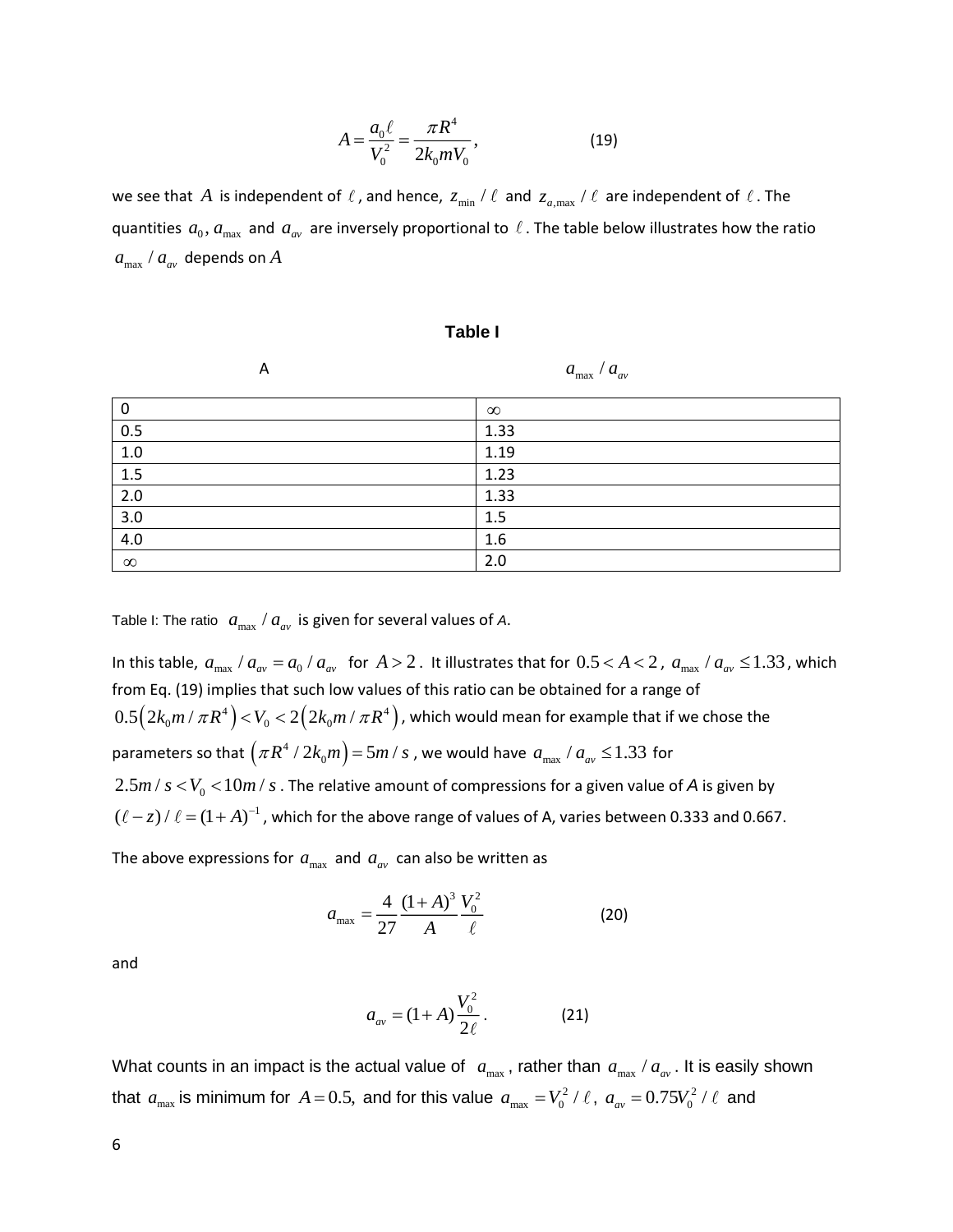$$
A = \frac{a_0 \ell}{V_0^2} = \frac{\pi R^4}{2k_0 m V_0},
$$
\n(19)

we see that  $A$  is independent of  $\ell$  , and hence,  $z_{\min}$  /  $\ell$  and  $z_{a,\max}$  /  $\ell$  are independent of  $\ell$  . The quantities  $a_0, a_{\text{max}}$  and  $a_{av}$  are inversely proportional to  $\ell$  . The table below illustrates how the ratio  $a_{\rm max}$  /  $a_{\rm av}$  depends on  $A$ 

#### **Table I**

| $\mathsf{A}$ |
|--------------|
|              |

 $a_{\text{max}}$  /  $a_{\text{av}}$ 

| 0        | $\infty$ |
|----------|----------|
| 0.5      | 1.33     |
| 1.0      | 1.19     |
| 1.5      | 1.23     |
| 2.0      | 1.33     |
| 3.0      | 1.5      |
| 4.0      | 1.6      |
| $\infty$ | 2.0      |

Table I: The ratio  $|a_{\rm max}|/a_{\rm av}$  is given for several values of A.

In this table,  $a_{\rm max}$  /  $a_{\rm av}$  =  $a_0$  /  $a_{\rm av}$  for  $A > 2$ . It illustrates that for  $0.5 < A < 2$ ,  $a_{\rm max}$  /  $a_{\rm av} \le 1.33$ , which from Eq. (19) implies that such low values of this ratio can be obtained for a range of  $0.5 \Big( 2 k_0 m \, / \, \pi R^4 \Big) \! < \! V_0 \! < \! 2 \Big( 2 k_0 m \, / \, \pi R^4 \Big)$  , which would mean for example that if we chose the parameters so that  $\left(\pi R^4 \mathbin{/} 2k_0m\right)$   $=$  5 $m$  /  $s$  , we would have  $\left.a_{\max}\right/a_{a v}$   $\leq$  1.33 for  $2.5 m$  /  $s$   $<$   $V_{0}$   $<$   $10 m$  /  $s$  . The relative amount of compressions for a given value of  $A$  is given by  $(\ell - z)$  /  $\ell = (1 + A)^{-1}$  , which for the above range of values of A, varies between 0.333 and 0.667.

The above expressions for  $a_{\text{max}}$  and  $a_{\text{av}}$  can also be written as

$$
a_{\text{max}} = \frac{4}{27} \frac{(1+A)^3}{A} \frac{V_0^2}{\ell}
$$
 (20)

and

$$
a_{av} = (1 + A) \frac{V_0^2}{2\ell}.
$$
 (21)

What counts in an impact is the actual value of  $a_{\text{max}}$ , rather than  $a_{\text{max}}$  /  $a_{\text{av}}$  . It is easily shown that  $a_{\text{max}}$  is minimum for  $A = 0.5$ , and for this value  $a_{\text{max}} = V_0^2 / \ell$ ,  $a_{\text{av}} = 0.75V_0^2$  $a_{av} = 0.75 V_0^2 / \ell$  and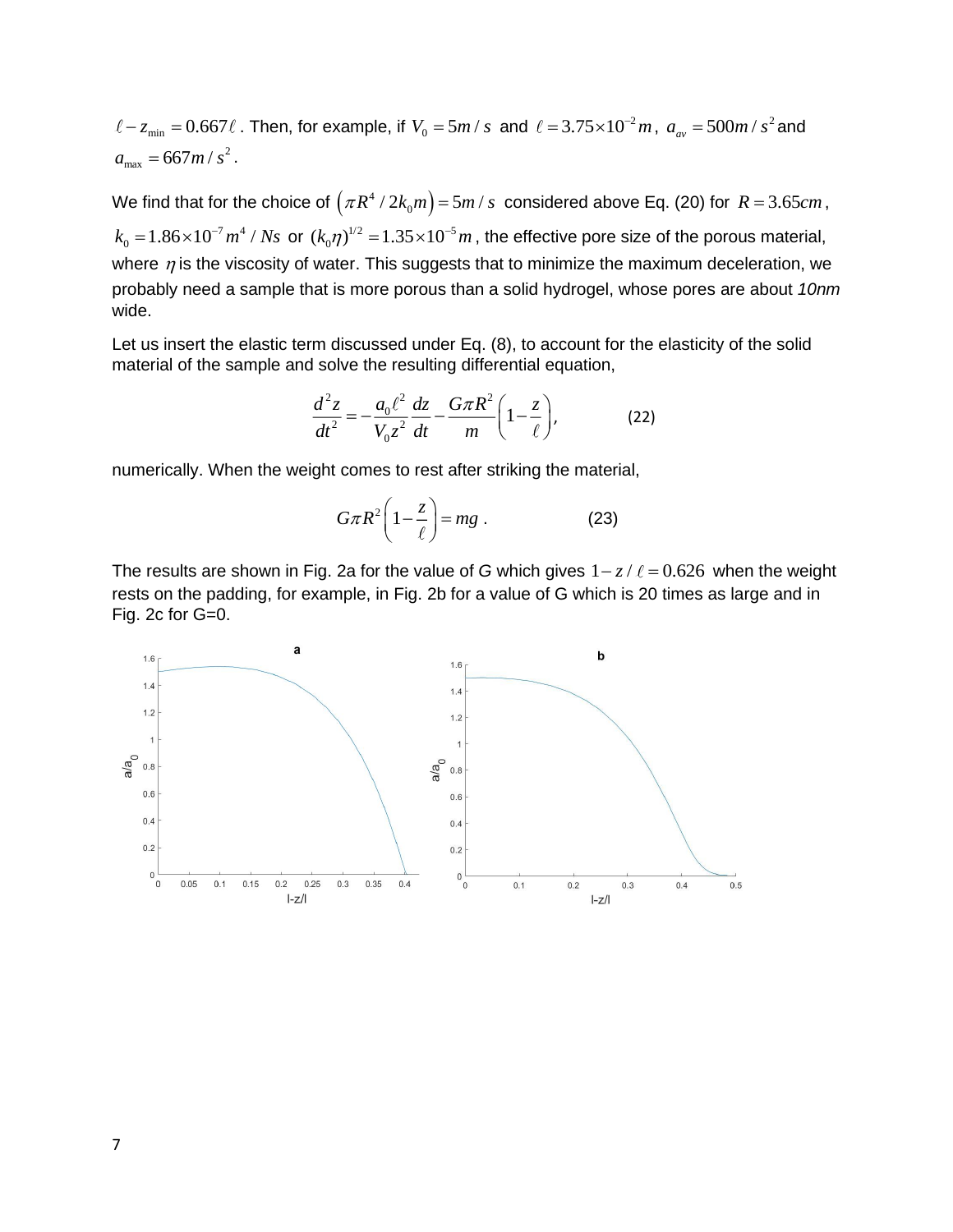$-z_{\text{min}} = 0.667\ell$  . Then, for example, if  $V_0 = 5m/s$  and  $\ell = 3.75 \times 10^{-2}m$ ,  $a_{av} = 500m/s^2$  and  $a_{\text{max}} = 667m/s^2$ .

We find that for the choice of  $\left(\pi R^4 \, / \, 2k_0m\right)$  = 5 $m$  /  $s$  considered above Eq. (20) for  $R$  = 3.65 $cm$  , 7 4  $k_{0} = 1.86 \times 10^{-7} m^{4}$  /  $Ns$  or  $(k_{0}\eta)^{1/2} = 1.35 \times 10^{-5}$  $(k_0\eta)^{1/2}$  = 1.35  $\times 10^{-5}$  *m*, the effective pore size of the porous material, where  $\eta$  is the viscosity of water. This suggests that to minimize the maximum deceleration, we probably need a sample that is more porous than a solid hydrogel, whose pores are about *10nm* wide.

Let us insert the elastic term discussed under Eq. (8), to account for the elasticity of the solid material of the sample and solve the resulting differential equation,

$$
\frac{d^2z}{dt^2} = -\frac{a_0\ell^2}{V_0z^2}\frac{dz}{dt} - \frac{G\pi R^2}{m}\left(1 - \frac{z}{\ell}\right),
$$
(22)

numerically. When the weight comes to rest after striking the material,

$$
G\pi R^2 \left(1 - \frac{z}{\ell}\right) = mg\ .
$$
 (23)

The results are shown in Fig. 2a for the value of G which gives  $1 - z / \ell = 0.626$  when the weight rests on the padding, for example, in Fig. 2b for a value of G which is 20 times as large and in Fig. 2c for G=0.

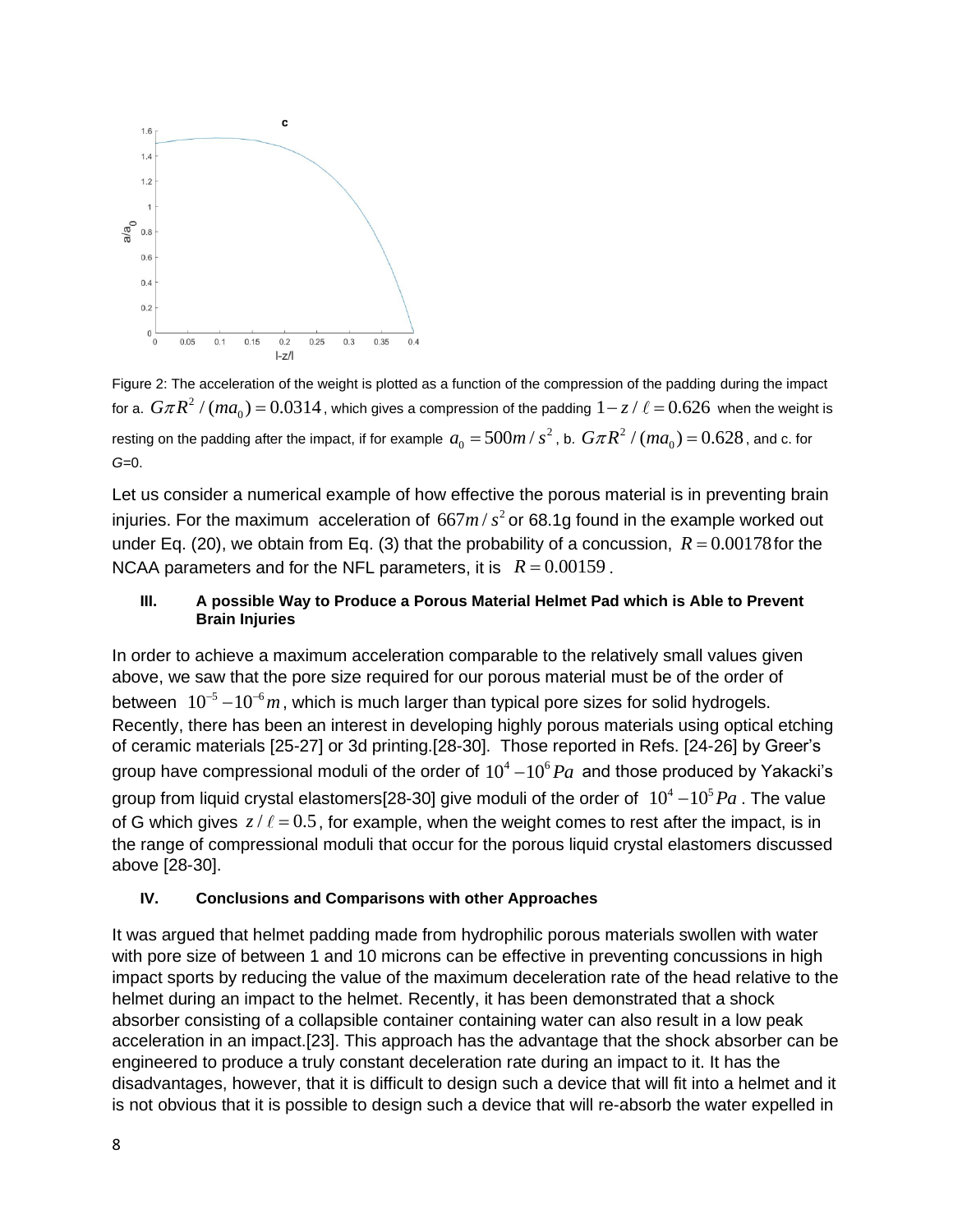

Figure 2: The acceleration of the weight is plotted as a function of the compression of the padding during the impact for a.  $\,G\pi R^2$  /  $(m a_0)$   $=$   $0.0314$  , which gives a compression of the padding  $\,1$   $-$  z /  $\ell$   $=$   $0.626\,$  when the weight is resting on the padding after the impact, if for example  $\,a_{\rm o}=500m$  /  $s^2$  $a_{\rm 0} =$  500 $m$  /  $s^{2}$  , b.  $G\pi R^{2}$  /  $(ma_{\rm 0})$   $=$   $0.628$  , and c. for *G=*0.

Let us consider a numerical example of how effective the porous material is in preventing brain injuries. For the maximum acceleration of  $667m/s<sup>2</sup>$  or 68.1g found in the example worked out under Eq. (20), we obtain from Eq. (3) that the probability of a concussion,  $R = 0.00178$  for the NCAA parameters and for the NFL parameters, it is  $R = 0.00159$ .

## **III. A possible Way to Produce a Porous Material Helmet Pad which is Able to Prevent Brain Injuries**

In order to achieve a maximum acceleration comparable to the relatively small values given above, we saw that the pore size required for our porous material must be of the order of between  $10^{-5}-10^{-6}m$ , which is much larger than typical pore sizes for solid hydrogels. Recently, there has been an interest in developing highly porous materials using optical etching of ceramic materials [25-27] or 3d printing.[28-30]. Those reported in Refs. [24-26] by Greer's group have compressional moduli of the order of  $10^4$  –  $10^6 \textit{Pa}\;$  and those produced by Yakacki's group from liquid crystal elastomers[28-30] give moduli of the order of  $10^4$  –  $10^5$   $Pa$  . The value of G which gives  $z/\ell = 0.5$ , for example, when the weight comes to rest after the impact, is in the range of compressional moduli that occur for the porous liquid crystal elastomers discussed above [28-30].

# **IV. Conclusions and Comparisons with other Approaches**

It was argued that helmet padding made from hydrophilic porous materials swollen with water with pore size of between 1 and 10 microns can be effective in preventing concussions in high impact sports by reducing the value of the maximum deceleration rate of the head relative to the helmet during an impact to the helmet. Recently, it has been demonstrated that a shock absorber consisting of a collapsible container containing water can also result in a low peak acceleration in an impact.[23]. This approach has the advantage that the shock absorber can be engineered to produce a truly constant deceleration rate during an impact to it. It has the disadvantages, however, that it is difficult to design such a device that will fit into a helmet and it is not obvious that it is possible to design such a device that will re-absorb the water expelled in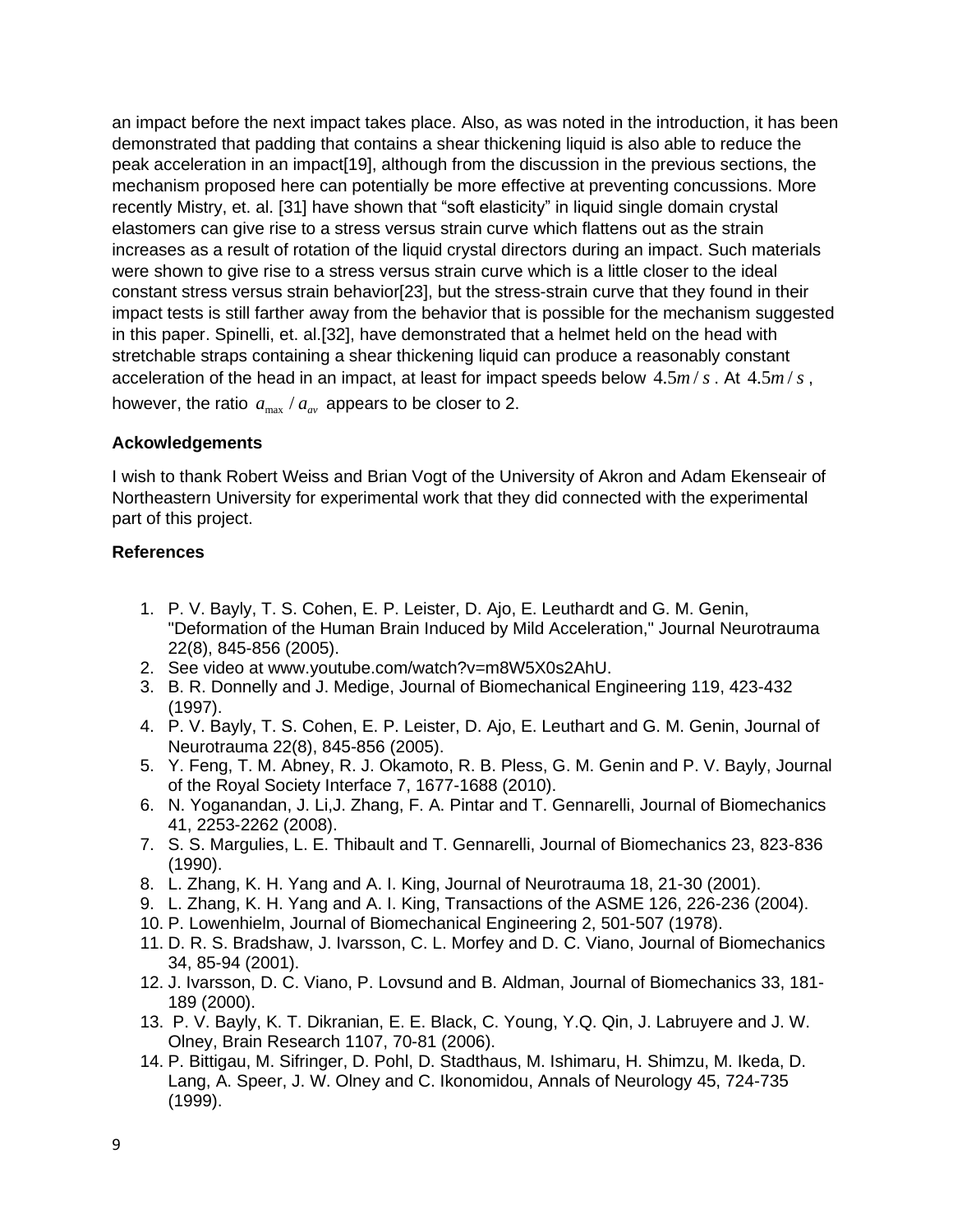an impact before the next impact takes place. Also, as was noted in the introduction, it has been demonstrated that padding that contains a shear thickening liquid is also able to reduce the peak acceleration in an impact[19], although from the discussion in the previous sections, the mechanism proposed here can potentially be more effective at preventing concussions. More recently Mistry, et. al. [31] have shown that "soft elasticity" in liquid single domain crystal elastomers can give rise to a stress versus strain curve which flattens out as the strain increases as a result of rotation of the liquid crystal directors during an impact. Such materials were shown to give rise to a stress versus strain curve which is a little closer to the ideal constant stress versus strain behavior[23], but the stress-strain curve that they found in their impact tests is still farther away from the behavior that is possible for the mechanism suggested in this paper. Spinelli, et. al.[32], have demonstrated that a helmet held on the head with stretchable straps containing a shear thickening liquid can produce a reasonably constant acceleration of the head in an impact, at least for impact speeds below  $4.5 m/s$ . At  $4.5 m/s$ , however, the ratio  $a_{\text{max}} / a_{\text{av}}$  appears to be closer to 2.

## **Ackowledgements**

I wish to thank Robert Weiss and Brian Vogt of the University of Akron and Adam Ekenseair of Northeastern University for experimental work that they did connected with the experimental part of this project.

## **References**

- 1. P. V. Bayly, T. S. Cohen, E. P. Leister, D. Ajo, E. Leuthardt and G. M. Genin, "Deformation of the Human Brain Induced by Mild Acceleration," Journal Neurotrauma 22(8), 845-856 (2005).
- 2. See video at www.youtube.com/watch?v=m8W5X0s2AhU.
- 3. B. R. Donnelly and J. Medige, Journal of Biomechanical Engineering 119, 423-432 (1997).
- 4. P. V. Bayly, T. S. Cohen, E. P. Leister, D. Ajo, E. Leuthart and G. M. Genin, Journal of Neurotrauma 22(8), 845-856 (2005).
- 5. Y. Feng, T. M. Abney, R. J. Okamoto, R. B. Pless, G. M. Genin and P. V. Bayly, Journal of the Royal Society Interface 7, 1677-1688 (2010).
- 6. N. Yoganandan, J. Li,J. Zhang, F. A. Pintar and T. Gennarelli, Journal of Biomechanics 41, 2253-2262 (2008).
- 7. S. S. Margulies, L. E. Thibault and T. Gennarelli, Journal of Biomechanics 23, 823-836 (1990).
- 8. L. Zhang, K. H. Yang and A. I. King, Journal of Neurotrauma 18, 21-30 (2001).
- 9. L. Zhang, K. H. Yang and A. I. King, Transactions of the ASME 126, 226-236 (2004).
- 10. P. Lowenhielm, Journal of Biomechanical Engineering 2, 501-507 (1978).
- 11. D. R. S. Bradshaw, J. Ivarsson, C. L. Morfey and D. C. Viano, Journal of Biomechanics 34, 85-94 (2001).
- 12. J. Ivarsson, D. C. Viano, P. Lovsund and B. Aldman, Journal of Biomechanics 33, 181- 189 (2000).
- 13. P. V. Bayly, K. T. Dikranian, E. E. Black, C. Young, Y.Q. Qin, J. Labruyere and J. W. Olney, Brain Research 1107, 70-81 (2006).
- 14. P. Bittigau, M. Sifringer, D. Pohl, D. Stadthaus, M. Ishimaru, H. Shimzu, M. Ikeda, D. Lang, A. Speer, J. W. Olney and C. Ikonomidou, Annals of Neurology 45, 724-735 (1999).